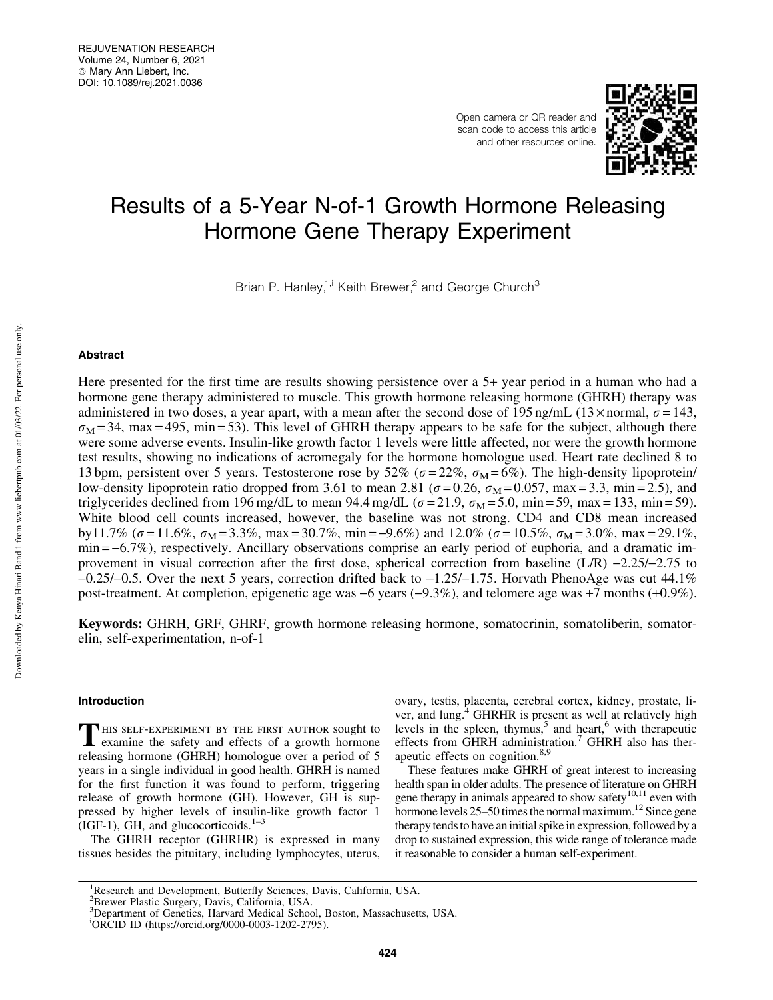Open camera or QR reader and scan code to access this article and other resources online.



# Results of a 5-Year N-of-1 Growth Hormone Releasing Hormone Gene Therapy Experiment

Brian P. Hanley,<sup>1,i</sup> Keith Brewer,<sup>2</sup> and George Church<sup>3</sup>

# Abstract

Here presented for the first time are results showing persistence over a 5+ year period in a human who had a hormone gene therapy administered to muscle. This growth hormone releasing hormone (GHRH) therapy was administered in two doses, a year apart, with a mean after the second dose of 195 ng/mL (13× normal,  $\sigma$  = 143,  $\sigma_{\rm M}$  = 34, max = 495, min = 53). This level of GHRH therapy appears to be safe for the subject, although there were some adverse events. Insulin-like growth factor 1 levels were little affected, nor were the growth hormone test results, showing no indications of acromegaly for the hormone homologue used. Heart rate declined 8 to 13 bpm, persistent over 5 years. Testosterone rose by 52% ( $\sigma = 22\%$ ,  $\sigma_{\rm M} = 6\%$ ). The high-density lipoprotein/ low-density lipoprotein ratio dropped from 3.61 to mean 2.81 ( $\sigma$  = 0.26,  $\sigma_{\rm M}$  = 0.057, max = 3.3, min = 2.5), and triglycerides declined from 196 mg/dL to mean 94.4 mg/dL ( $\sigma = 21.9$ ,  $\sigma_{\rm M} = 5.0$ , min = 59, max = 133, min = 59). White blood cell counts increased, however, the baseline was not strong. CD4 and CD8 mean increased by11.7% ( $\sigma$  = 11.6%,  $\sigma_M$  = 3.3%, max = 30.7%, min = -9.6%) and 12.0% ( $\sigma$  = 10.5%,  $\sigma_M$  = 3.0%, max = 29.1%,  $min = -6.7\%)$ , respectively. Ancillary observations comprise an early period of euphoria, and a dramatic improvement in visual correction after the first dose, spherical correction from baseline  $(L/R)$  -2.25/-2.75 to  $-0.25/-0.5$ . Over the next 5 years, correction drifted back to  $-1.25/-1.75$ . Horvath PhenoAge was cut 44.1% post-treatment. At completion, epigenetic age was -6 years (-9.3%), and telomere age was +7 months (+0.9%).

Keywords: GHRH, GRF, GHRF, growth hormone releasing hormone, somatocrinin, somatoliberin, somatorelin, self-experimentation, n-of-1

# Introduction

THIS SELF-EXPERIMENT BY THE FIRST AUTHOR Sought to examine the safety and effects of a growth hormone **HIS SELF-EXPERIMENT BY THE FIRST AUTHOR SOUGht to** releasing hormone (GHRH) homologue over a period of 5 years in a single individual in good health. GHRH is named for the first function it was found to perform, triggering release of growth hormone (GH). However, GH is suppressed by higher levels of insulin-like growth factor 1 (IGF-1), GH, and glucocorticoids. $1-3$ 

The GHRH receptor (GHRHR) is expressed in many tissues besides the pituitary, including lymphocytes, uterus, ovary, testis, placenta, cerebral cortex, kidney, prostate, liver, and lung.<sup>4</sup> GHRHR is present as well at relatively high levels in the spleen, thymus,<sup>5</sup> and heart,<sup>6</sup> with therapeutic effects from GHRH administration.<sup>7</sup> GHRH also has therapeutic effects on cognition.<sup>8,9</sup>

These features make GHRH of great interest to increasing health span in older adults. The presence of literature on GHRH gene therapy in animals appeared to show safety $^{10,11}$  even with hormone levels 25–50 times the normal maximum.<sup>12</sup> Since gene therapy tends to have an initial spike in expression, followed by a drop to sustained expression, this wide range of tolerance made it reasonable to consider a human self-experiment.

<sup>&</sup>lt;sup>1</sup>Research and Development, Butterfly Sciences, Davis, California, USA.

<sup>2</sup>Brewer Plastic Surgery, Davis, California, USA.

<sup>3</sup>Department of Genetics, Harvard Medical School, Boston, Massachusetts, USA.

<sup>i</sup>ORCID ID (https://orcid.org/0000-0003-1202-2795).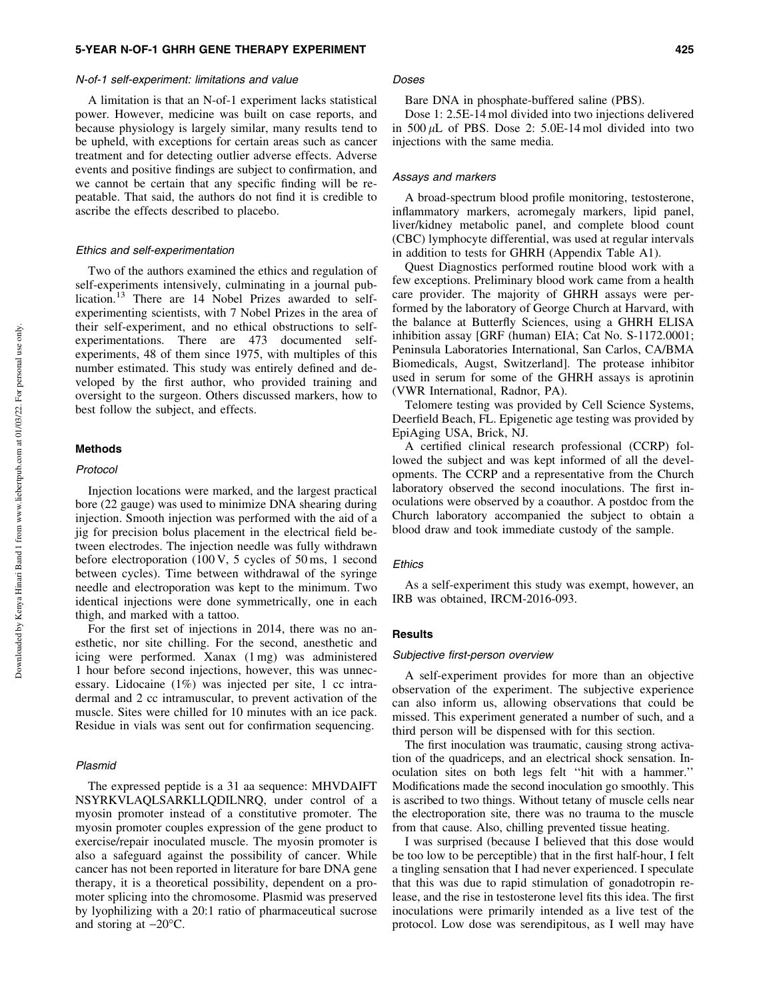#### N-of-1 self-experiment: limitations and value

A limitation is that an N-of-1 experiment lacks statistical power. However, medicine was built on case reports, and because physiology is largely similar, many results tend to be upheld, with exceptions for certain areas such as cancer treatment and for detecting outlier adverse effects. Adverse events and positive findings are subject to confirmation, and we cannot be certain that any specific finding will be repeatable. That said, the authors do not find it is credible to ascribe the effects described to placebo.

## Ethics and self-experimentation

Two of the authors examined the ethics and regulation of self-experiments intensively, culminating in a journal publication.<sup>13</sup> There are 14 Nobel Prizes awarded to selfexperimenting scientists, with 7 Nobel Prizes in the area of their self-experiment, and no ethical obstructions to selfexperimentations. There are 473 documented selfexperiments, 48 of them since 1975, with multiples of this number estimated. This study was entirely defined and developed by the first author, who provided training and oversight to the surgeon. Others discussed markers, how to best follow the subject, and effects.

# Methods

## Protocol

Injection locations were marked, and the largest practical bore (22 gauge) was used to minimize DNA shearing during injection. Smooth injection was performed with the aid of a jig for precision bolus placement in the electrical field between electrodes. The injection needle was fully withdrawn before electroporation (100 V, 5 cycles of 50 ms, 1 second between cycles). Time between withdrawal of the syringe needle and electroporation was kept to the minimum. Two identical injections were done symmetrically, one in each thigh, and marked with a tattoo.

For the first set of injections in 2014, there was no anesthetic, nor site chilling. For the second, anesthetic and icing were performed. Xanax (1 mg) was administered 1 hour before second injections, however, this was unnecessary. Lidocaine (1%) was injected per site, 1 cc intradermal and 2 cc intramuscular, to prevent activation of the muscle. Sites were chilled for 10 minutes with an ice pack. Residue in vials was sent out for confirmation sequencing.

### Plasmid

The expressed peptide is a 31 aa sequence: MHVDAIFT NSYRKVLAQLSARKLLQDILNRQ, under control of a myosin promoter instead of a constitutive promoter. The myosin promoter couples expression of the gene product to exercise/repair inoculated muscle. The myosin promoter is also a safeguard against the possibility of cancer. While cancer has not been reported in literature for bare DNA gene therapy, it is a theoretical possibility, dependent on a promoter splicing into the chromosome. Plasmid was preserved by lyophilizing with a 20:1 ratio of pharmaceutical sucrose and storing at  $-20^{\circ}$ C.

#### Doses

Bare DNA in phosphate-buffered saline (PBS).

Dose 1: 2.5E-14 mol divided into two injections delivered in  $500 \mu L$  of PBS. Dose 2:  $5.0E-14 \text{ mol}$  divided into two injections with the same media.

## Assays and markers

A broad-spectrum blood profile monitoring, testosterone, inflammatory markers, acromegaly markers, lipid panel, liver/kidney metabolic panel, and complete blood count (CBC) lymphocyte differential, was used at regular intervals in addition to tests for GHRH (Appendix Table A1).

Quest Diagnostics performed routine blood work with a few exceptions. Preliminary blood work came from a health care provider. The majority of GHRH assays were performed by the laboratory of George Church at Harvard, with the balance at Butterfly Sciences, using a GHRH ELISA inhibition assay [GRF (human) EIA; Cat No. S-1172.0001; Peninsula Laboratories International, San Carlos, CA/BMA Biomedicals, Augst, Switzerland]. The protease inhibitor used in serum for some of the GHRH assays is aprotinin (VWR International, Radnor, PA).

Telomere testing was provided by Cell Science Systems, Deerfield Beach, FL. Epigenetic age testing was provided by EpiAging USA, Brick, NJ.

A certified clinical research professional (CCRP) followed the subject and was kept informed of all the developments. The CCRP and a representative from the Church laboratory observed the second inoculations. The first inoculations were observed by a coauthor. A postdoc from the Church laboratory accompanied the subject to obtain a blood draw and took immediate custody of the sample.

## **Ethics**

As a self-experiment this study was exempt, however, an IRB was obtained, IRCM-2016-093.

# **Results**

#### Subjective first-person overview

A self-experiment provides for more than an objective observation of the experiment. The subjective experience can also inform us, allowing observations that could be missed. This experiment generated a number of such, and a third person will be dispensed with for this section.

The first inoculation was traumatic, causing strong activation of the quadriceps, and an electrical shock sensation. Inoculation sites on both legs felt ''hit with a hammer.'' Modifications made the second inoculation go smoothly. This is ascribed to two things. Without tetany of muscle cells near the electroporation site, there was no trauma to the muscle from that cause. Also, chilling prevented tissue heating.

I was surprised (because I believed that this dose would be too low to be perceptible) that in the first half-hour, I felt a tingling sensation that I had never experienced. I speculate that this was due to rapid stimulation of gonadotropin release, and the rise in testosterone level fits this idea. The first inoculations were primarily intended as a live test of the protocol. Low dose was serendipitous, as I well may have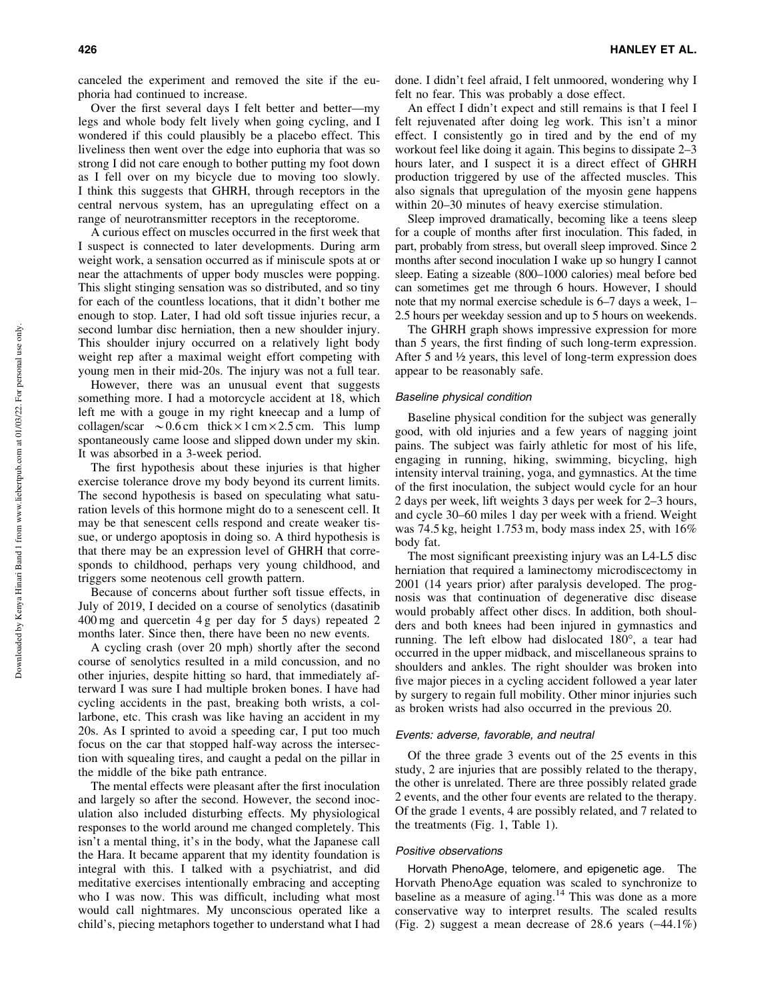canceled the experiment and removed the site if the euphoria had continued to increase.

Over the first several days I felt better and better—my legs and whole body felt lively when going cycling, and I wondered if this could plausibly be a placebo effect. This liveliness then went over the edge into euphoria that was so strong I did not care enough to bother putting my foot down as I fell over on my bicycle due to moving too slowly. I think this suggests that GHRH, through receptors in the central nervous system, has an upregulating effect on a range of neurotransmitter receptors in the receptorome.

A curious effect on muscles occurred in the first week that I suspect is connected to later developments. During arm weight work, a sensation occurred as if miniscule spots at or near the attachments of upper body muscles were popping. This slight stinging sensation was so distributed, and so tiny for each of the countless locations, that it didn't bother me enough to stop. Later, I had old soft tissue injuries recur, a second lumbar disc herniation, then a new shoulder injury. This shoulder injury occurred on a relatively light body weight rep after a maximal weight effort competing with young men in their mid-20s. The injury was not a full tear.

However, there was an unusual event that suggests something more. I had a motorcycle accident at 18, which left me with a gouge in my right kneecap and a lump of collagen/scar  $\sim 0.6$  cm thick  $\times$  1 cm  $\times$  2.5 cm. This lump spontaneously came loose and slipped down under my skin. It was absorbed in a 3-week period.

The first hypothesis about these injuries is that higher exercise tolerance drove my body beyond its current limits. The second hypothesis is based on speculating what saturation levels of this hormone might do to a senescent cell. It may be that senescent cells respond and create weaker tissue, or undergo apoptosis in doing so. A third hypothesis is that there may be an expression level of GHRH that corresponds to childhood, perhaps very young childhood, and triggers some neotenous cell growth pattern.

Because of concerns about further soft tissue effects, in July of 2019, I decided on a course of senolytics (dasatinib 400 mg and quercetin 4 g per day for 5 days) repeated 2 months later. Since then, there have been no new events.

A cycling crash (over 20 mph) shortly after the second course of senolytics resulted in a mild concussion, and no other injuries, despite hitting so hard, that immediately afterward I was sure I had multiple broken bones. I have had cycling accidents in the past, breaking both wrists, a collarbone, etc. This crash was like having an accident in my 20s. As I sprinted to avoid a speeding car, I put too much focus on the car that stopped half-way across the intersection with squealing tires, and caught a pedal on the pillar in the middle of the bike path entrance.

The mental effects were pleasant after the first inoculation and largely so after the second. However, the second inoculation also included disturbing effects. My physiological responses to the world around me changed completely. This isn't a mental thing, it's in the body, what the Japanese call the Hara. It became apparent that my identity foundation is integral with this. I talked with a psychiatrist, and did meditative exercises intentionally embracing and accepting who I was now. This was difficult, including what most would call nightmares. My unconscious operated like a child's, piecing metaphors together to understand what I had done. I didn't feel afraid, I felt unmoored, wondering why I felt no fear. This was probably a dose effect.

An effect I didn't expect and still remains is that I feel I felt rejuvenated after doing leg work. This isn't a minor effect. I consistently go in tired and by the end of my workout feel like doing it again. This begins to dissipate 2–3 hours later, and I suspect it is a direct effect of GHRH production triggered by use of the affected muscles. This also signals that upregulation of the myosin gene happens within 20–30 minutes of heavy exercise stimulation.

Sleep improved dramatically, becoming like a teens sleep for a couple of months after first inoculation. This faded, in part, probably from stress, but overall sleep improved. Since 2 months after second inoculation I wake up so hungry I cannot sleep. Eating a sizeable (800–1000 calories) meal before bed can sometimes get me through 6 hours. However, I should note that my normal exercise schedule is 6–7 days a week, 1– 2.5 hours per weekday session and up to 5 hours on weekends.

The GHRH graph shows impressive expression for more than 5 years, the first finding of such long-term expression. After 5 and ½ years, this level of long-term expression does appear to be reasonably safe.

# Baseline physical condition

Baseline physical condition for the subject was generally good, with old injuries and a few years of nagging joint pains. The subject was fairly athletic for most of his life, engaging in running, hiking, swimming, bicycling, high intensity interval training, yoga, and gymnastics. At the time of the first inoculation, the subject would cycle for an hour 2 days per week, lift weights 3 days per week for 2–3 hours, and cycle 30–60 miles 1 day per week with a friend. Weight was 74.5 kg, height 1.753 m, body mass index 25, with 16% body fat.

The most significant preexisting injury was an L4-L5 disc herniation that required a laminectomy microdiscectomy in 2001 (14 years prior) after paralysis developed. The prognosis was that continuation of degenerative disc disease would probably affect other discs. In addition, both shoulders and both knees had been injured in gymnastics and running. The left elbow had dislocated  $180^\circ$ , a tear had occurred in the upper midback, and miscellaneous sprains to shoulders and ankles. The right shoulder was broken into five major pieces in a cycling accident followed a year later by surgery to regain full mobility. Other minor injuries such as broken wrists had also occurred in the previous 20.

## Events: adverse, favorable, and neutral

Of the three grade 3 events out of the 25 events in this study, 2 are injuries that are possibly related to the therapy, the other is unrelated. There are three possibly related grade 2 events, and the other four events are related to the therapy. Of the grade 1 events, 4 are possibly related, and 7 related to the treatments (Fig. 1, Table 1).

## Positive observations

Horvath PhenoAge, telomere, and epigenetic age. The Horvath PhenoAge equation was scaled to synchronize to baseline as a measure of aging.<sup>14</sup> This was done as a more conservative way to interpret results. The scaled results (Fig. 2) suggest a mean decrease of 28.6 years  $(-44.1\%)$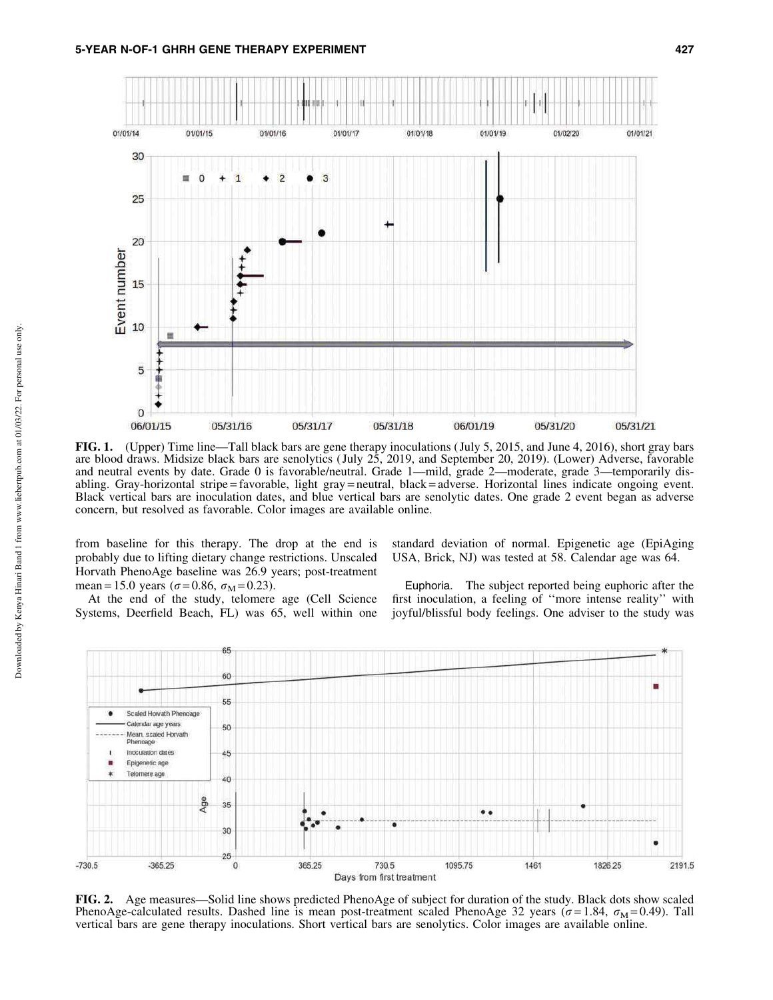

FIG. 1. (Upper) Time line—Tall black bars are gene therapy inoculations ( July 5, 2015, and June 4, 2016), short gray bars are blood draws. Midsize black bars are senolytics ( July 25, 2019, and September 20, 2019). (Lower) Adverse, favorable and neutral events by date. Grade 0 is favorable/neutral. Grade 1—mild, grade 2—moderate, grade 3—temporarily disabling. Gray-horizontal stripe = favorable, light gray = neutral, black = adverse. Horizontal lines indicate ongoing event. Black vertical bars are inoculation dates, and blue vertical bars are senolytic dates. One grade 2 event began as adverse concern, but resolved as favorable. Color images are available online.

from baseline for this therapy. The drop at the end is probably due to lifting dietary change restrictions. Unscaled Horvath PhenoAge baseline was 26.9 years; post-treatment mean = 15.0 years ( $\sigma$  = 0.86,  $\sigma_{\rm M}$  = 0.23).

At the end of the study, telomere age (Cell Science Systems, Deerfield Beach, FL) was 65, well within one

standard deviation of normal. Epigenetic age (EpiAging USA, Brick, NJ) was tested at 58. Calendar age was 64.

Euphoria. The subject reported being euphoric after the first inoculation, a feeling of ''more intense reality'' with joyful/blissful body feelings. One adviser to the study was



FIG. 2. Age measures—Solid line shows predicted PhenoAge of subject for duration of the study. Black dots show scaled PhenoAge-calculated results. Dashed line is mean post-treatment scaled PhenoAge 32 years ( $\sigma = 1.84$ ,  $\sigma_M = 0.49$ ). Tall vertical bars are gene therapy inoculations. Short vertical bars are senolytics. Color images are available online.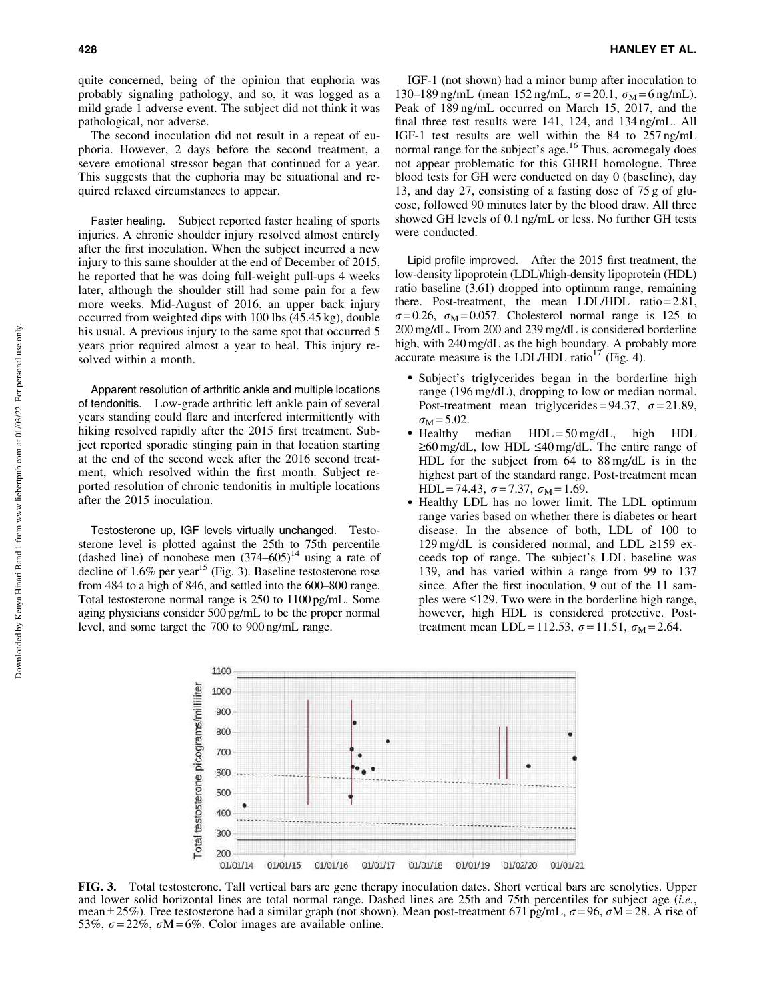quite concerned, being of the opinion that euphoria was probably signaling pathology, and so, it was logged as a mild grade 1 adverse event. The subject did not think it was pathological, nor adverse.

The second inoculation did not result in a repeat of euphoria. However, 2 days before the second treatment, a severe emotional stressor began that continued for a year. This suggests that the euphoria may be situational and required relaxed circumstances to appear.

Faster healing. Subject reported faster healing of sports injuries. A chronic shoulder injury resolved almost entirely after the first inoculation. When the subject incurred a new injury to this same shoulder at the end of December of 2015, he reported that he was doing full-weight pull-ups 4 weeks later, although the shoulder still had some pain for a few more weeks. Mid-August of 2016, an upper back injury occurred from weighted dips with 100 lbs (45.45 kg), double his usual. A previous injury to the same spot that occurred 5 years prior required almost a year to heal. This injury resolved within a month.

Apparent resolution of arthritic ankle and multiple locations of tendonitis. Low-grade arthritic left ankle pain of several years standing could flare and interfered intermittently with hiking resolved rapidly after the 2015 first treatment. Subject reported sporadic stinging pain in that location starting at the end of the second week after the 2016 second treatment, which resolved within the first month. Subject reported resolution of chronic tendonitis in multiple locations after the 2015 inoculation.

Testosterone up, IGF levels virtually unchanged. Testosterone level is plotted against the 25th to 75th percentile (dashed line) of nonobese men  $(374–605)^{14}$  using a rate of decline of  $1.6\%$  per year<sup>15</sup> (Fig. 3). Baseline testosterone rose from 484 to a high of 846, and settled into the 600–800 range. Total testosterone normal range is 250 to 1100 pg/mL. Some aging physicians consider 500 pg/mL to be the proper normal level, and some target the 700 to 900 ng/mL range.

IGF-1 (not shown) had a minor bump after inoculation to 130–189 ng/mL (mean 152 ng/mL,  $\sigma = 20.1$ ,  $\sigma_M = 6$  ng/mL). Peak of 189 ng/mL occurred on March 15, 2017, and the final three test results were 141, 124, and 134 ng/mL. All IGF-1 test results are well within the 84 to 257 ng/mL normal range for the subject's age.<sup>16</sup> Thus, acromegaly does not appear problematic for this GHRH homologue. Three blood tests for GH were conducted on day 0 (baseline), day 13, and day 27, consisting of a fasting dose of 75 g of glucose, followed 90 minutes later by the blood draw. All three showed GH levels of 0.1 ng/mL or less. No further GH tests were conducted.

Lipid profile improved. After the 2015 first treatment, the low-density lipoprotein (LDL)/high-density lipoprotein (HDL) ratio baseline (3.61) dropped into optimum range, remaining there. Post-treatment, the mean LDL/HDL ratio =  $2.81$ ,  $\sigma = 0.26$ ,  $\sigma_M = 0.057$ . Cholesterol normal range is 125 to 200 mg/dL. From 200 and 239 mg/dL is considered borderline high, with 240 mg/dL as the high boundary. A probably more accurate measure is the LDL/HDL ratio<sup>17</sup> (Fig. 4).

- Subject's triglycerides began in the borderline high range (196 mg/dL), dropping to low or median normal. Post-treatment mean triglycerides =  $94.37$ ,  $\sigma = 21.89$ ,  $\sigma_{\rm M}$  = 5.02.
- Healthy median  $HDL = 50$  mg/dL, high HDL  $\geq 60$  mg/dL, low HDL  $\leq 40$  mg/dL. The entire range of HDL for the subject from 64 to 88 mg/dL is in the highest part of the standard range. Post-treatment mean HDL = 74.43,  $\sigma$  = 7.37,  $\sigma_M$  = 1.69.
- Healthy LDL has no lower limit. The LDL optimum range varies based on whether there is diabetes or heart disease. In the absence of both, LDL of 100 to 129 mg/dL is considered normal, and LDL  $\geq$ 159 exceeds top of range. The subject's LDL baseline was 139, and has varied within a range from 99 to 137 since. After the first inoculation, 9 out of the 11 samples were  $\leq 129$ . Two were in the borderline high range, however, high HDL is considered protective. Posttreatment mean LDL = 112.53,  $\sigma = 11.51$ ,  $\sigma_{\text{M}} = 2.64$ .



FIG. 3. Total testosterone. Tall vertical bars are gene therapy inoculation dates. Short vertical bars are senolytics. Upper and lower solid horizontal lines are total normal range. Dashed lines are 25th and 75th percentiles for subject age (*i.e.*, mean  $\pm$  25%). Free testosterone had a similar graph (not shown). Mean post-treatment 671 pg/mL,  $\sigma$  = 96,  $\sigma$ M = 28. A rise of 53%,  $\sigma = 22\%$ ,  $\sigma M = 6\%$ . Color images are available online.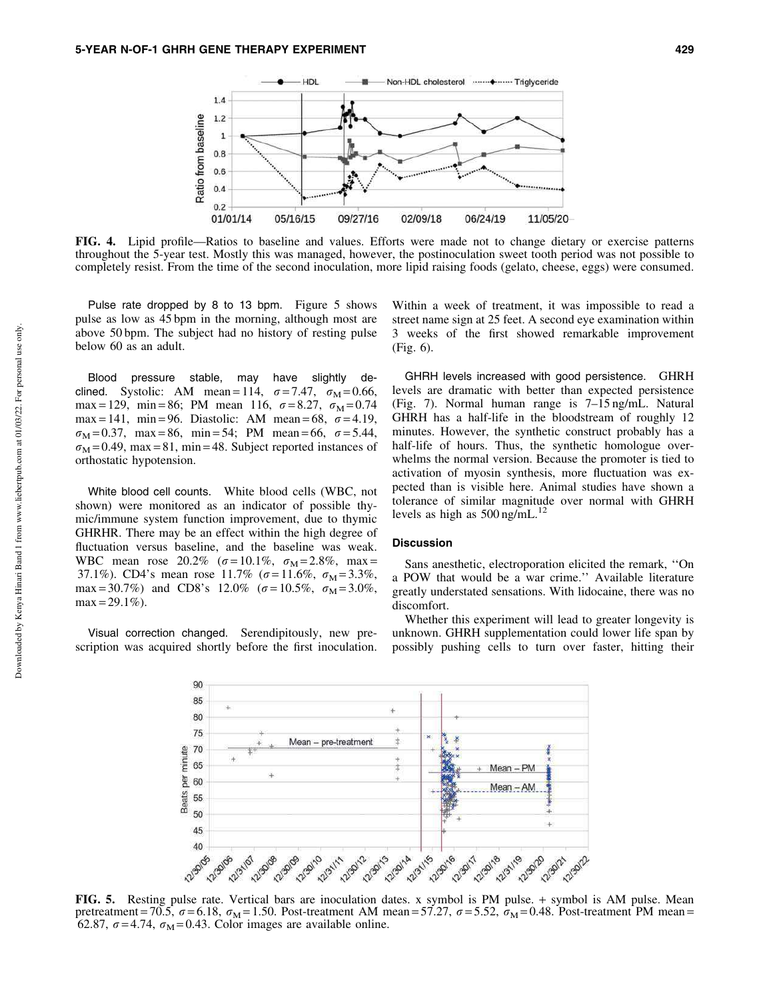

FIG. 4. Lipid profile—Ratios to baseline and values. Efforts were made not to change dietary or exercise patterns throughout the 5-year test. Mostly this was managed, however, the postinoculation sweet tooth period was not possible to completely resist. From the time of the second inoculation, more lipid raising foods (gelato, cheese, eggs) were consumed.

Pulse rate dropped by 8 to 13 bpm. Figure 5 shows pulse as low as 45 bpm in the morning, although most are above 50 bpm. The subject had no history of resting pulse below 60 as an adult.

Blood pressure stable, may have slightly declined. Systolic: AM mean = 114,  $\sigma = 7.47$ ,  $\sigma_M = 0.66$ , max = 129, min = 86; PM mean 116,  $\sigma = 8.27$ ,  $\sigma_M = 0.74$ max = 141, min = 96. Diastolic: AM mean = 68,  $\sigma$  = 4.19,  $\sigma_M = 0.37$ , max = 86, min = 54; PM mean = 66,  $\sigma = 5.44$ ,  $\sigma_{\rm M}$  = 0.49, max = 81, min = 48. Subject reported instances of orthostatic hypotension.

White blood cell counts. White blood cells (WBC, not shown) were monitored as an indicator of possible thymic/immune system function improvement, due to thymic GHRHR. There may be an effect within the high degree of fluctuation versus baseline, and the baseline was weak. WBC mean rose 20.2% ( $\sigma = 10.1\%$ ,  $\sigma_M = 2.8\%$ , max = 37.1%). CD4's mean rose 11.7% ( $\sigma = 11.6\%$ ,  $\sigma_M = 3.3\%$ , max = 30.7%) and CD8's 12.0% ( $\sigma$  = 10.5%,  $\sigma_{\rm M}$  = 3.0%,  $max = 29.1\%$ ).

Visual correction changed. Serendipitously, new prescription was acquired shortly before the first inoculation.

Within a week of treatment, it was impossible to read a street name sign at 25 feet. A second eye examination within 3 weeks of the first showed remarkable improvement (Fig. 6).

GHRH levels increased with good persistence. GHRH levels are dramatic with better than expected persistence (Fig. 7). Normal human range is 7–15 ng/mL. Natural GHRH has a half-life in the bloodstream of roughly 12 minutes. However, the synthetic construct probably has a half-life of hours. Thus, the synthetic homologue overwhelms the normal version. Because the promoter is tied to activation of myosin synthesis, more fluctuation was expected than is visible here. Animal studies have shown a tolerance of similar magnitude over normal with GHRH levels as high as  $500$  ng/mL.<sup>12</sup>

# Discussion

Sans anesthetic, electroporation elicited the remark, ''On a POW that would be a war crime.'' Available literature greatly understated sensations. With lidocaine, there was no discomfort.

Whether this experiment will lead to greater longevity is unknown. GHRH supplementation could lower life span by possibly pushing cells to turn over faster, hitting their



FIG. 5. Resting pulse rate. Vertical bars are inoculation dates. x symbol is PM pulse. + symbol is AM pulse. Mean pretreatment = 70.5,  $\sigma$  = 6.18,  $\sigma_M$  = 1.50. Post-treatment AM mean = 57.27,  $\sigma$  = 5.52,  $\sigma_M$  = 0.48. Post-treatment PM mean = 62.87,  $\sigma$  = 4.74,  $\sigma_M$  = 0.43. Color images are available online.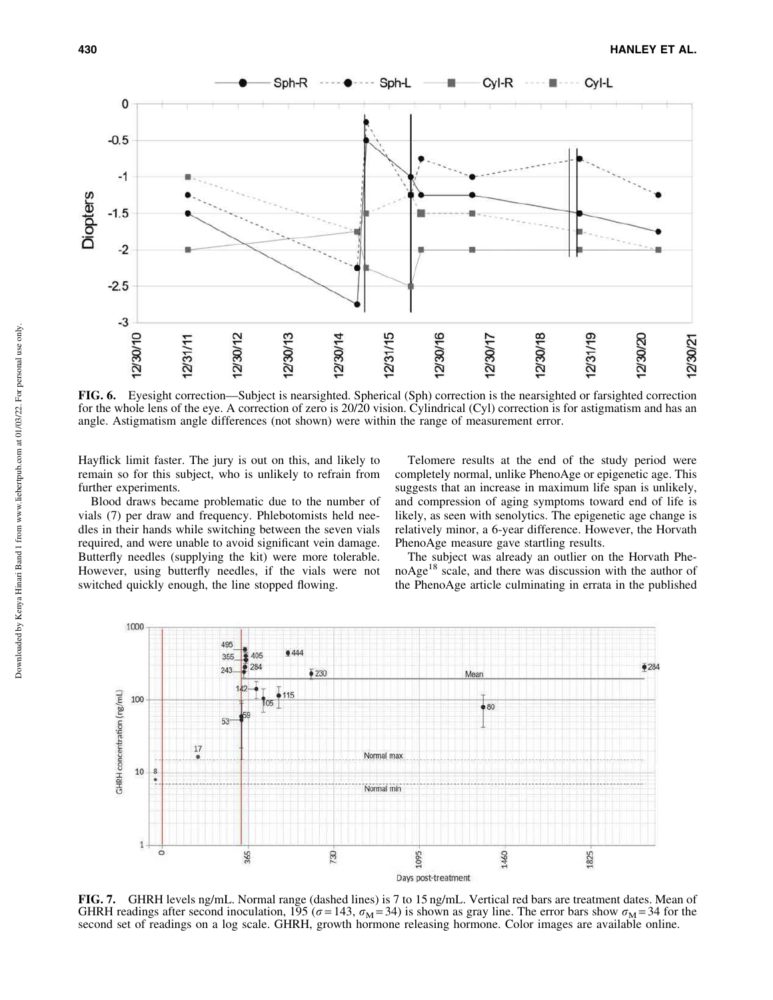

FIG. 6. Eyesight correction—Subject is nearsighted. Spherical (Sph) correction is the nearsighted or farsighted correction for the whole lens of the eye. A correction of zero is 20/20 vision. Cylindrical (Cyl) correction is for astigmatism and has an angle. Astigmatism angle differences (not shown) were within the range of measurement error.

Hayflick limit faster. The jury is out on this, and likely to remain so for this subject, who is unlikely to refrain from further experiments.

Blood draws became problematic due to the number of vials (7) per draw and frequency. Phlebotomists held needles in their hands while switching between the seven vials required, and were unable to avoid significant vein damage. Butterfly needles (supplying the kit) were more tolerable. However, using butterfly needles, if the vials were not switched quickly enough, the line stopped flowing.

Telomere results at the end of the study period were completely normal, unlike PhenoAge or epigenetic age. This suggests that an increase in maximum life span is unlikely, and compression of aging symptoms toward end of life is likely, as seen with senolytics. The epigenetic age change is relatively minor, a 6-year difference. However, the Horvath PhenoAge measure gave startling results.

The subject was already an outlier on the Horvath Phe $noAge<sup>18</sup> scale, and there was discussion with the author of$ the PhenoAge article culminating in errata in the published



FIG. 7. GHRH levels ng/mL. Normal range (dashed lines) is 7 to 15 ng/mL. Vertical red bars are treatment dates. Mean of GHRH readings after second inoculation, 195 ( $\sigma$  = 143,  $\sigma_M$  = 34) is shown as gray line. The error bars show  $\sigma_M$  = 34 for the second set of readings on a log scale. GHRH, growth hormone releasing hormone. Color images are available online.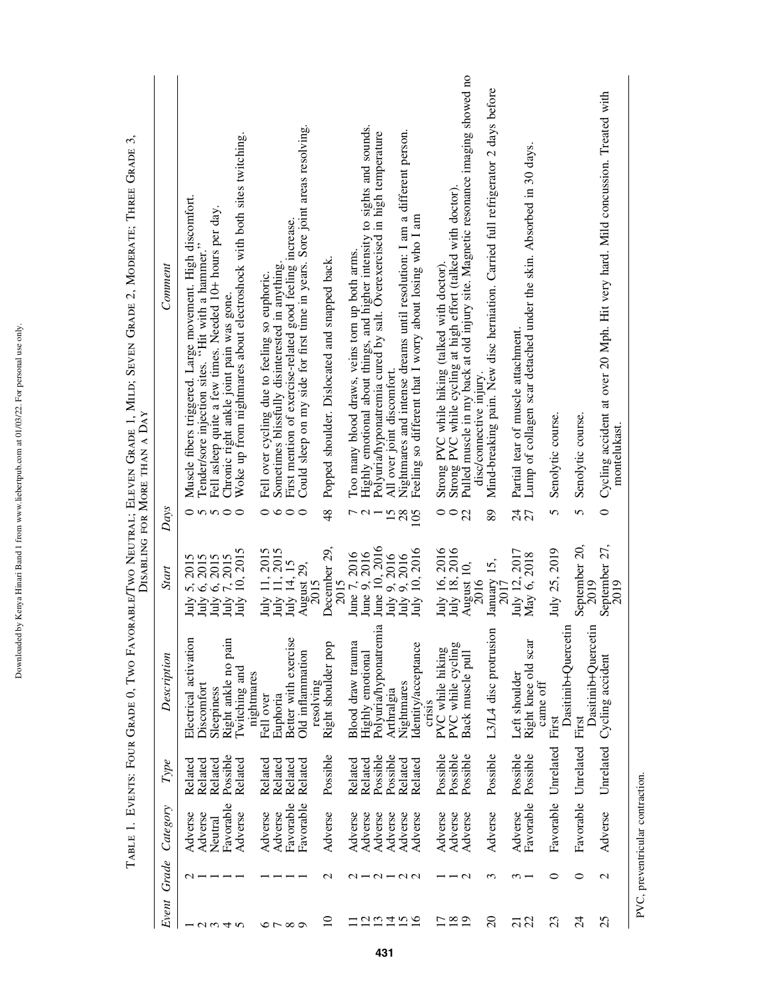|                                 |                                         |                                  |                      |                                                |                                                              |                        | З,<br>TABLE 1. EVENTS: FOUR GRADE 0, TWO FAVORABLE/TWO NEUTRAL; ELEVEN GRADE 1, MILD; SEVEN GRADE 2, MODERATE; THREE GRADE<br>DISABLING FOR MORE THAN A DAY |
|---------------------------------|-----------------------------------------|----------------------------------|----------------------|------------------------------------------------|--------------------------------------------------------------|------------------------|-------------------------------------------------------------------------------------------------------------------------------------------------------------|
| Event                           | Grade                                   | Category                         | Type                 | Description                                    | Start                                                        | Days                   | Comment                                                                                                                                                     |
|                                 | $\sim$                                  | Adverse                          | Related              | Electrical activation                          |                                                              |                        |                                                                                                                                                             |
|                                 |                                         | Adverse                          | Related              | Discomfort                                     |                                                              |                        | Muscle fibers triggered. Large movement. High discomfort.<br>Tender/sore injection sites. "Hit with a hammer."                                              |
| $ \alpha$ $\alpha$ $+$ $\alpha$ |                                         | Neutral                          | Related              | Sleepiness                                     | July 5, 2015<br>July 6, 2015<br>July 6, 2015<br>July 7, 2015 | $\circ$ nnoo           | Fell asleep quite a few times. Needed 10+ hours per day                                                                                                     |
|                                 |                                         | Favorable                        | Possible             | Right ankle no pain                            |                                                              |                        | Chronic right ankle joint pain was gone.                                                                                                                    |
|                                 |                                         | Adverse                          | Related              | Twitching and                                  | July 10, 2015                                                |                        | Woke up from nightmares about electroshock with both sites twitching                                                                                        |
|                                 |                                         |                                  |                      | nightmares                                     |                                                              |                        |                                                                                                                                                             |
|                                 |                                         | Adverse                          | Related<br>Related   | Euphoria<br>Fell over                          | July 11, 2015<br>July 11, 2015                               |                        | Fell over cycling due to feeling so euphoric.                                                                                                               |
| $\circ$ $\sim$ $\circ$          |                                         | Favorable<br>Adverse             | Related              | Better with exercise                           | July 14, 15                                                  | $\circ\circ\circ\circ$ | First mention of exercise-related good feeling increase.<br>Sometimes blissfully disinterested in anything.                                                 |
|                                 |                                         | Favorable                        | Related              | Old inflammation<br>resolving                  | August 29,<br>2015                                           |                        | Could sleep on my side for first time in years. Sore joint areas resolving.                                                                                 |
| $\overline{10}$                 | $\mathcal{L}$                           | Adverse                          | Possible             | Right shoulder pop                             | December 29,<br>2015                                         | $\frac{48}{5}$         | Popped shoulder. Dislocated and snapped back.                                                                                                               |
|                                 | $\mathbf{\sim}$                         | Adverse                          | Related              | Blood draw trauma                              |                                                              |                        | Too many blood draws, veins torn up both arms.                                                                                                              |
| $\mathcal{L}_{\mathcal{L}}$     |                                         | Adverse                          | Related              |                                                | June 7, 2016<br>June 9, 2016                                 | $\overline{C}$         |                                                                                                                                                             |
| 13                              |                                         | Adverse                          | Possible             | Polyuria/hyponatremia<br>Highly emotional      | June 10, 2016                                                |                        | Highly emotional about things, and higher intensity to sights and sounds.<br>Polyuria/hyponatremia cured by salt. Overexercised in high temperature         |
| $\overline{1}$                  | $\mathcal{Q} = \mathcal{Q} \mathcal{Q}$ | Adverse                          | Possible             | Arthralgia                                     |                                                              |                        | All over joint discomfort.                                                                                                                                  |
| $\frac{5}{16}$                  |                                         | Adverse                          | Related              | Nightmares                                     |                                                              | 15 <sub>28</sub>       | Nightmares and intense dreams until resolution: I am a different person.                                                                                    |
|                                 |                                         | Adverse                          | Related              | Identity/acceptance<br>crisis                  | July 9, 2016<br>July 9, 2016<br>July 10, 2016                | 105                    | Feeling so different that I worry about losing who I am                                                                                                     |
| □                               |                                         |                                  |                      |                                                |                                                              |                        |                                                                                                                                                             |
| 18                              |                                         | Adverse<br>Adverse               | Possible<br>Possible | PVC while cycling<br>PVC while hiking          | July 16, 2016<br>July 18, 2016                               | $\circ$<br>$\circ$     | Strong PVC while cycling at high effort (talked with doctor).<br>Strong PVC while hiking (talked with doctor).                                              |
| 19                              | $\mathbf{\Omega}$                       | Adverse                          | Possible             | Back muscle pull                               | August 10,<br>2016                                           | 22                     | Pulled muscle in my back at old injury site. Magnetic resonance imaging showed no<br>disc/connective injury.                                                |
| $\Omega$                        | $\epsilon$                              | Adverse                          | Possible             | $\overline{\mathrm{m}}$<br>L3/L4 disc protrusi | January 15, $2017$                                           | 89                     | Mind-breaking pain. New disc herniation. Carried full refrigerator 2 days before                                                                            |
|                                 | ω.                                      | Adverse                          | Possible             | Left shoulder                                  |                                                              |                        | Partial tear of muscle attachment.                                                                                                                          |
| ភ្ល                             |                                         | Favorable                        | Possible             | Right knee old scar<br>came off                | July 12, 2017<br>May 6, 2018                                 | 25                     | Lump of collagen scar detached under the skin. Absorbed in 30 days.                                                                                         |
| 23                              | 0                                       | Favorable                        | Unrelated            | Dasitinib+Quercetin<br>First                   | July 25, 2019                                                | 5                      | Senolytic course.                                                                                                                                           |
| $\overline{c}$                  | $\circ$                                 | Favorable                        | Unrelated            | Dasitinib+Ouercetin<br>First                   | September 20,<br>2019                                        | 5                      | Senolytic course                                                                                                                                            |
| 25                              | $\mathcal{L}$                           | Adverse                          | Unrelated            | Cycling accident                               | September 27,<br>2019                                        | $\circ$                | Cycling accident at over 20 Mph. Hit very hard. Mild concussion. Treated with<br>montelukast.                                                               |
|                                 |                                         | PVC, preventricular contraction. |                      |                                                |                                                              |                        |                                                                                                                                                             |

Downloaded by Kenya Hinari Band 1 from www.liebertpub.com at 01/03/22. For personal use only. Downloaded by Kenya Hinari Band 1 from www.liebertpub.com at 01/03/22. For personal use only.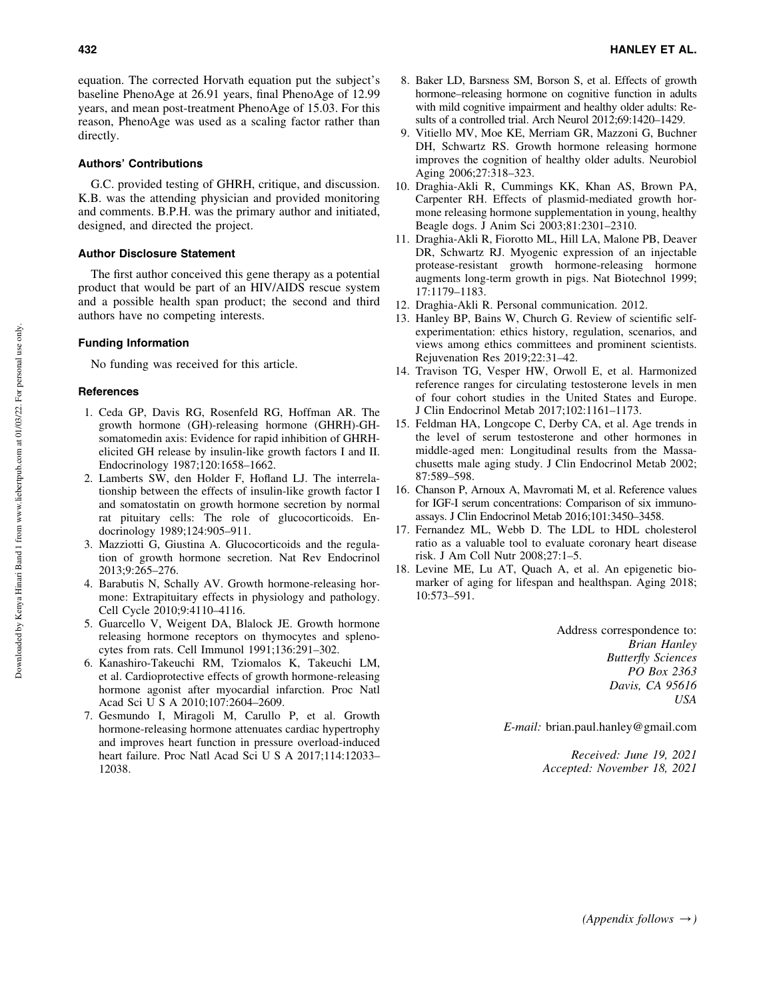equation. The corrected Horvath equation put the subject's baseline PhenoAge at 26.91 years, final PhenoAge of 12.99 years, and mean post-treatment PhenoAge of 15.03. For this reason, PhenoAge was used as a scaling factor rather than directly.

## Authors' Contributions

G.C. provided testing of GHRH, critique, and discussion. K.B. was the attending physician and provided monitoring and comments. B.P.H. was the primary author and initiated, designed, and directed the project.

# Author Disclosure Statement

The first author conceived this gene therapy as a potential product that would be part of an HIV/AIDS rescue system and a possible health span product; the second and third authors have no competing interests.

## Funding Information

No funding was received for this article.

## **References**

- 1. Ceda GP, Davis RG, Rosenfeld RG, Hoffman AR. The growth hormone (GH)-releasing hormone (GHRH)-GHsomatomedin axis: Evidence for rapid inhibition of GHRHelicited GH release by insulin-like growth factors I and II. Endocrinology 1987;120:1658–1662.
- 2. Lamberts SW, den Holder F, Hofland LJ. The interrelationship between the effects of insulin-like growth factor I and somatostatin on growth hormone secretion by normal rat pituitary cells: The role of glucocorticoids. Endocrinology 1989;124:905–911.
- 3. Mazziotti G, Giustina A. Glucocorticoids and the regulation of growth hormone secretion. Nat Rev Endocrinol 2013;9:265–276.
- 4. Barabutis N, Schally AV. Growth hormone-releasing hormone: Extrapituitary effects in physiology and pathology. Cell Cycle 2010;9:4110–4116.
- 5. Guarcello V, Weigent DA, Blalock JE. Growth hormone releasing hormone receptors on thymocytes and splenocytes from rats. Cell Immunol 1991;136:291–302.
- 6. Kanashiro-Takeuchi RM, Tziomalos K, Takeuchi LM, et al. Cardioprotective effects of growth hormone-releasing hormone agonist after myocardial infarction. Proc Natl Acad Sci U S A 2010;107:2604–2609.
- 7. Gesmundo I, Miragoli M, Carullo P, et al. Growth hormone-releasing hormone attenuates cardiac hypertrophy and improves heart function in pressure overload-induced heart failure. Proc Natl Acad Sci U S A 2017;114:12033– 12038.
- 8. Baker LD, Barsness SM, Borson S, et al. Effects of growth hormone–releasing hormone on cognitive function in adults with mild cognitive impairment and healthy older adults: Results of a controlled trial. Arch Neurol 2012;69:1420–1429.
- 9. Vitiello MV, Moe KE, Merriam GR, Mazzoni G, Buchner DH, Schwartz RS. Growth hormone releasing hormone improves the cognition of healthy older adults. Neurobiol Aging 2006;27:318–323.
- 10. Draghia-Akli R, Cummings KK, Khan AS, Brown PA, Carpenter RH. Effects of plasmid-mediated growth hormone releasing hormone supplementation in young, healthy Beagle dogs. J Anim Sci 2003;81:2301–2310.
- 11. Draghia-Akli R, Fiorotto ML, Hill LA, Malone PB, Deaver DR, Schwartz RJ. Myogenic expression of an injectable protease-resistant growth hormone-releasing hormone augments long-term growth in pigs. Nat Biotechnol 1999; 17:1179–1183.
- 12. Draghia-Akli R. Personal communication. 2012.
- 13. Hanley BP, Bains W, Church G. Review of scientific selfexperimentation: ethics history, regulation, scenarios, and views among ethics committees and prominent scientists. Rejuvenation Res 2019;22:31–42.
- 14. Travison TG, Vesper HW, Orwoll E, et al. Harmonized reference ranges for circulating testosterone levels in men of four cohort studies in the United States and Europe. J Clin Endocrinol Metab 2017;102:1161–1173.
- 15. Feldman HA, Longcope C, Derby CA, et al. Age trends in the level of serum testosterone and other hormones in middle-aged men: Longitudinal results from the Massachusetts male aging study. J Clin Endocrinol Metab 2002; 87:589–598.
- 16. Chanson P, Arnoux A, Mavromati M, et al. Reference values for IGF-I serum concentrations: Comparison of six immunoassays. J Clin Endocrinol Metab 2016;101:3450–3458.
- 17. Fernandez ML, Webb D. The LDL to HDL cholesterol ratio as a valuable tool to evaluate coronary heart disease risk. J Am Coll Nutr 2008;27:1–5.
- 18. Levine ME, Lu AT, Quach A, et al. An epigenetic biomarker of aging for lifespan and healthspan. Aging 2018; 10:573–591.

Address correspondence to: *Brian Hanley Butterfly Sciences PO Box 2363 Davis, CA 95616 USA*

*E-mail:* brian.paul.hanley@gmail.com

*Received: June 19, 2021 Accepted: November 18, 2021*